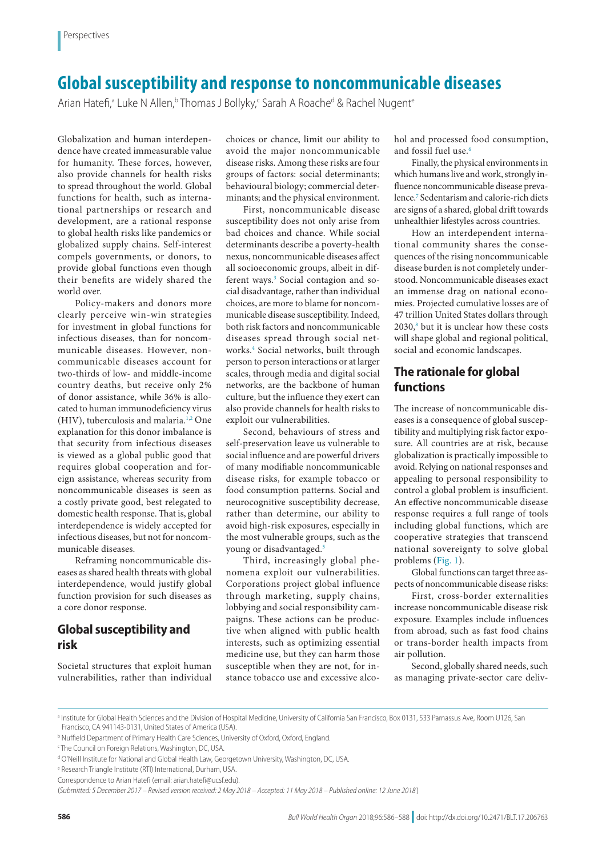# **Global susceptibility and response to noncommunicable diseases**

Arian Hatefi,ª Luke N Allen, bThomas J Bollyky,< Sarah A Roached & Rachel Nugent &

Globalization and human interdependence have created immeasurable value for humanity. These forces, however, also provide channels for health risks to spread throughout the world. Global functions for health, such as international partnerships or research and development, are a rational response to global health risks like pandemics or globalized supply chains. Self-interest compels governments, or donors, to provide global functions even though their benefits are widely shared the world over.

Policy-makers and donors more clearly perceive win-win strategies for investment in global functions for infectious diseases, than for noncommunicable diseases. However, noncommunicable diseases account for two-thirds of low- and middle-income country deaths, but receive only 2% of donor assistance, while 36% is allocated to human immunodeficiency virus (HIV), tuberculosis and malaria.[1](#page-2-0),[2](#page-2-1) One explanation for this donor imbalance is that security from infectious diseases is viewed as a global public good that requires global cooperation and foreign assistance, whereas security from noncommunicable diseases is seen as a costly private good, best relegated to domestic health response. That is, global interdependence is widely accepted for infectious diseases, but not for noncommunicable diseases.

Reframing noncommunicable diseases as shared health threats with global interdependence, would justify global function provision for such diseases as a core donor response.

## **Global susceptibility and risk**

Societal structures that exploit human vulnerabilities, rather than individual choices or chance, limit our ability to avoid the major noncommunicable disease risks. Among these risks are four groups of factors: social determinants; behavioural biology; commercial determinants; and the physical environment.

First, noncommunicable disease susceptibility does not only arise from bad choices and chance. While social determinants describe a poverty-health nexus, noncommunicable diseases affect all socioeconomic groups, albeit in dif-ferent ways.<sup>[3](#page-2-2)</sup> Social contagion and social disadvantage, rather than individual choices, are more to blame for noncommunicable disease susceptibility. Indeed, both risk factors and noncommunicable diseases spread through social networks.[4](#page-2-3) Social networks, built through person to person interactions or at larger scales, through media and digital social networks, are the backbone of human culture, but the influence they exert can also provide channels for health risks to exploit our vulnerabilities.

Second, behaviours of stress and self-preservation leave us vulnerable to social influence and are powerful drivers of many modifiable noncommunicable disease risks, for example tobacco or food consumption patterns. Social and neurocognitive susceptibility decrease, rather than determine, our ability to avoid high-risk exposures, especially in the most vulnerable groups, such as the young or disadvantaged.<sup>[5](#page-2-4)</sup>

Third, increasingly global phenomena exploit our vulnerabilities. Corporations project global influence through marketing, supply chains, lobbying and social responsibility campaigns. These actions can be productive when aligned with public health interests, such as optimizing essential medicine use, but they can harm those susceptible when they are not, for instance tobacco use and excessive alcohol and processed food consumption, and fossil fuel use.<sup>6</sup>

Finally, the physical environments in which humans live and work, strongly influence noncommunicable disease prevalence.[7](#page-2-6) Sedentarism and calorie-rich diets are signs of a shared, global drift towards unhealthier lifestyles across countries.

How an interdependent international community shares the consequences of the rising noncommunicable disease burden is not completely understood. Noncommunicable diseases exact an immense drag on national economies. Projected cumulative losses are of 47 trillion United States dollars through  $2030$ ,<sup>8</sup> but it is unclear how these costs will shape global and regional political, social and economic landscapes.

### **The rationale for global functions**

The increase of noncommunicable diseases is a consequence of global susceptibility and multiplying risk factor exposure. All countries are at risk, because globalization is practically impossible to avoid. Relying on national responses and appealing to personal responsibility to control a global problem is insufficient. An effective noncommunicable disease response requires a full range of tools including global functions, which are cooperative strategies that transcend national sovereignty to solve global problems [\(Fig.](#page-1-0) 1).

Global functions can target three aspects of noncommunicable disease risks:

First, cross-border externalities increase noncommunicable disease risk exposure. Examples include influences from abroad, such as fast food chains or trans-border health impacts from air pollution.

Second, globally shared needs, such as managing private-sector care deliv-

a Institute for Global Health Sciences and the Division of Hospital Medicine, University of California San Francisco, Box 0131, 533 Parnassus Ave, Room U126, San Francisco, CA 941143-0131, United States of America (USA).

**b Nuffield Department of Primary Health Care Sciences, University of Oxford, Oxford, England.** 

c The Council on Foreign Relations, Washington, DC, USA.

d O'Neill Institute for National and Global Health Law, Georgetown University, Washington, DC, USA.

e Research Triangle Institute (RTI) International, Durham, USA.

Correspondence to Arian Hatefi (email: arian.hatefi@ucsf.edu).

<sup>(</sup>*Submitted: 5 December 2017 – Revised version received: 2 May 2018 – Accepted: 11 May 2018 – Published online: 12 June 2018* )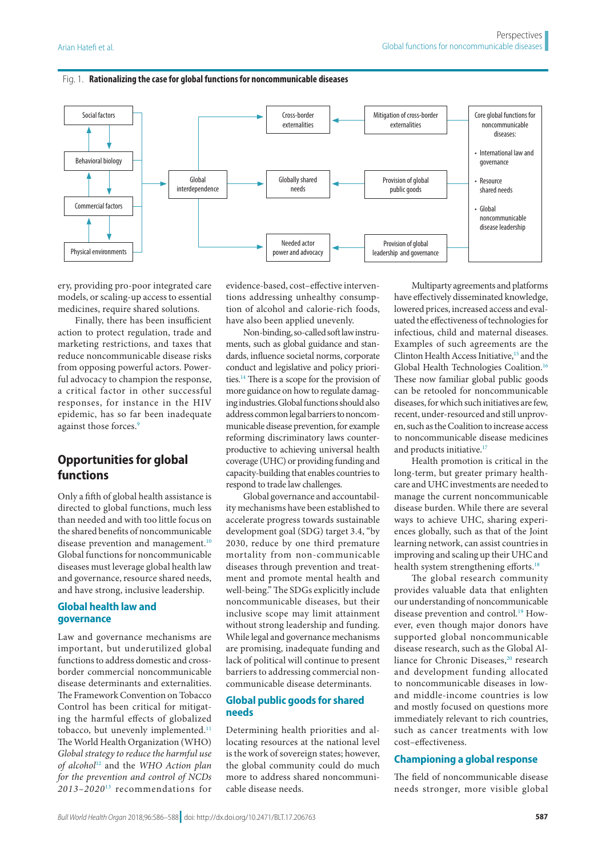#### <span id="page-1-0"></span>Fig. 1. **Rationalizing the case for global functions for noncommunicable diseases**



ery, providing pro-poor integrated care models, or scaling-up access to essential medicines, require shared solutions.

Finally, there has been insufficient action to protect regulation, trade and marketing restrictions, and taxes that reduce noncommunicable disease risks from opposing powerful actors. Powerful advocacy to champion the response, a critical factor in other successful responses, for instance in the HIV epidemic, has so far been inadequate against those forces.<sup>[9](#page-2-8)</sup>

## **Opportunities for global functions**

Only a fifth of global health assistance is directed to global functions, much less than needed and with too little focus on the shared benefits of noncommunicable disease prevention and management.<sup>[10](#page-2-9)</sup> Global functions for noncommunicable diseases must leverage global health law and governance, resource shared needs, and have strong, inclusive leadership.

### **Global health law and governance**

Law and governance mechanisms are important, but underutilized global functions to address domestic and crossborder commercial noncommunicable disease determinants and externalities. The Framework Convention on Tobacco Control has been critical for mitigating the harmful effects of globalized tobacco, but unevenly implemented.<sup>11</sup> The World Health Organization (WHO) *Global strategy to reduce the harmful use of alcohol*[12](#page-2-11) and the *WHO Action plan for the prevention and control of NCDs 2013–2020*[13](#page-2-12) recommendations for

evidence-based, cost–effective interventions addressing unhealthy consumption of alcohol and calorie-rich foods, have also been applied unevenly.

Non-binding, so-called soft law instruments, such as global guidance and standards, influence societal norms, corporate conduct and legislative and policy priorities[.14](#page-2-13) There is a scope for the provision of more guidance on how to regulate damaging industries. Global functions should also address common legal barriers to noncommunicable disease prevention, for example reforming discriminatory laws counterproductive to achieving universal health coverage (UHC) or providing funding and capacity-building that enables countries to respond to trade law challenges.

Global governance and accountability mechanisms have been established to accelerate progress towards sustainable development goal (SDG) target 3.4, "by 2030, reduce by one third premature mortality from non-communicable diseases through prevention and treatment and promote mental health and well-being." The SDGs explicitly include noncommunicable diseases, but their inclusive scope may limit attainment without strong leadership and funding. While legal and governance mechanisms are promising, inadequate funding and lack of political will continue to present barriers to addressing commercial noncommunicable disease determinants.

### **Global public goods for shared needs**

Determining health priorities and allocating resources at the national level is the work of sovereign states; however, the global community could do much more to address shared noncommunicable disease needs.

Multiparty agreements and platforms have effectively disseminated knowledge, lowered prices, increased access and evaluated the effectiveness of technologies for infectious, child and maternal diseases. Examples of such agreements are the Clinton Health Access Initiative,<sup>15</sup> and the Global Health Technologies Coalition[.16](#page-2-15) These now familiar global public goods can be retooled for noncommunicable diseases, for which such initiatives are few, recent, under-resourced and still unproven, such as the Coalition to increase access to noncommunicable disease medicines and products initiative.<sup>[17](#page-2-16)</sup>

Health promotion is critical in the long-term, but greater primary healthcare and UHC investments are needed to manage the current noncommunicable disease burden. While there are several ways to achieve UHC, sharing experiences globally, such as that of the Joint learning network, can assist countries in improving and scaling up their UHC and health system strengthening efforts.<sup>[18](#page-2-17)</sup>

The global research community provides valuable data that enlighten our understanding of noncommunicable disease prevention and control.<sup>[19](#page-2-18)</sup> However, even though major donors have supported global noncommunicable disease research, such as the Global Al-liance for Chronic Diseases,<sup>[20](#page-2-19)</sup> research and development funding allocated to noncommunicable diseases in lowand middle-income countries is low and mostly focused on questions more immediately relevant to rich countries, such as cancer treatments with low cost–effectiveness.

#### **Championing a global response**

The field of noncommunicable disease needs stronger, more visible global